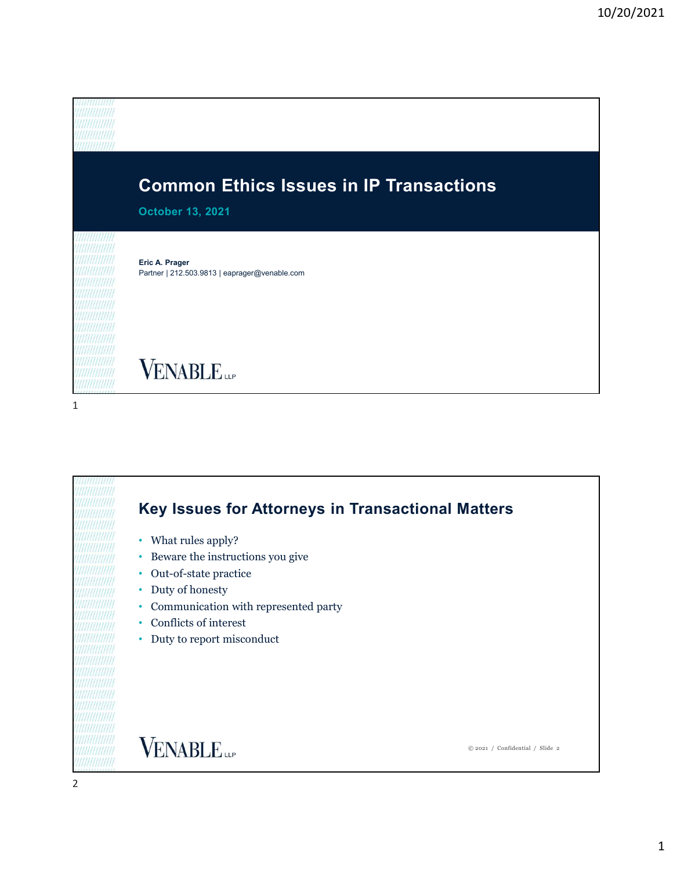

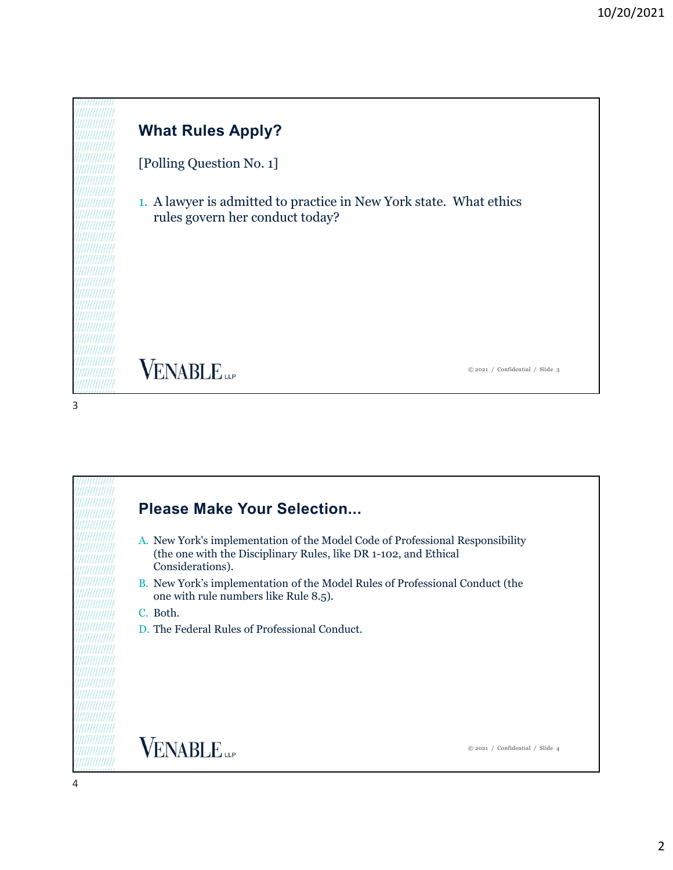

[Polling Question No. 1]

1. A lawyer is admitted to practice in New York state. What ethics rules govern her conduct today?

**VENABLE** 

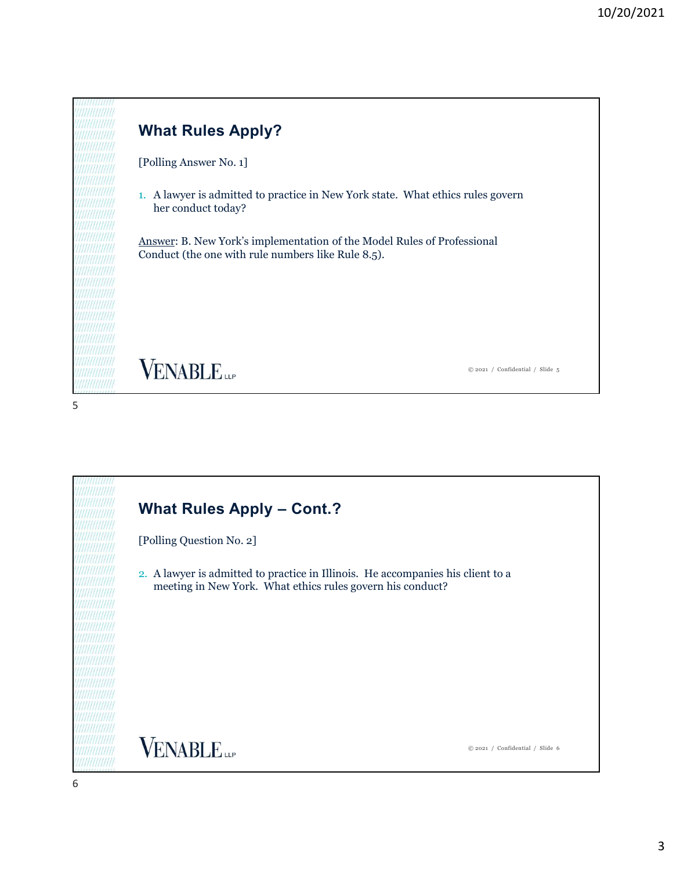

[Polling Question No. 2] 2. A lawyer is admitted to practice in Illinois. He accompanies his client to a meeting in New York. What ethics rules govern his conduct? **VENABLE** © 2021 / Confidential / Slide 6 6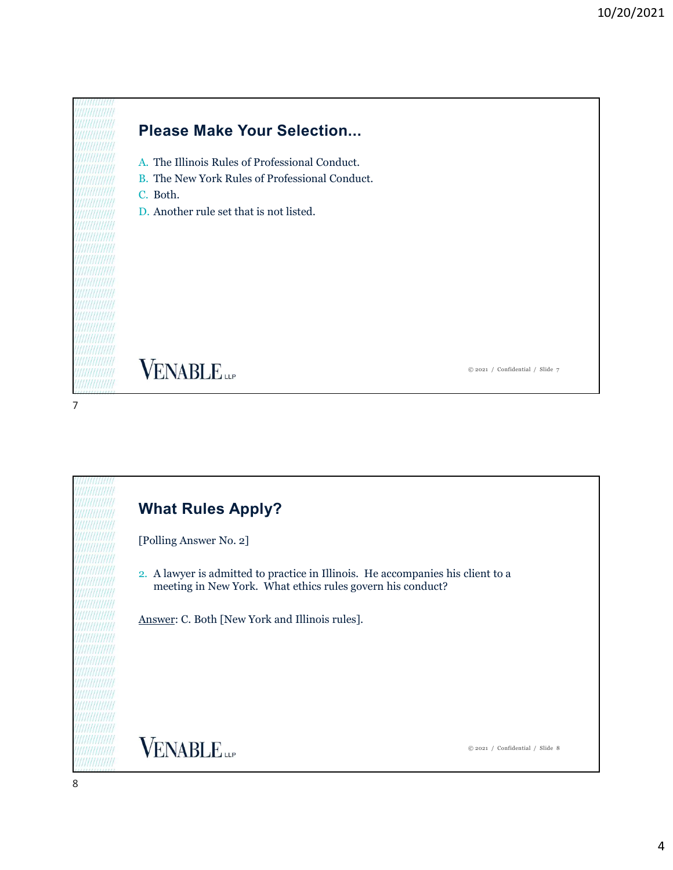

# Please Make Your Selection...

- A. The Illinois Rules of Professional Conduct.
- B. The New York Rules of Professional Conduct.
- C. Both.
- D. Another rule set that is not listed.

**VENABLE** 

© 2021 / Confidential / Slide 7

# What Rules Apply?

[Polling Answer No. 2]

2. A lawyer is admitted to practice in Illinois. He accompanies his client to a meeting in New York. What ethics rules govern his conduct?

Answer: C. Both [New York and Illinois rules].

**VENABLE**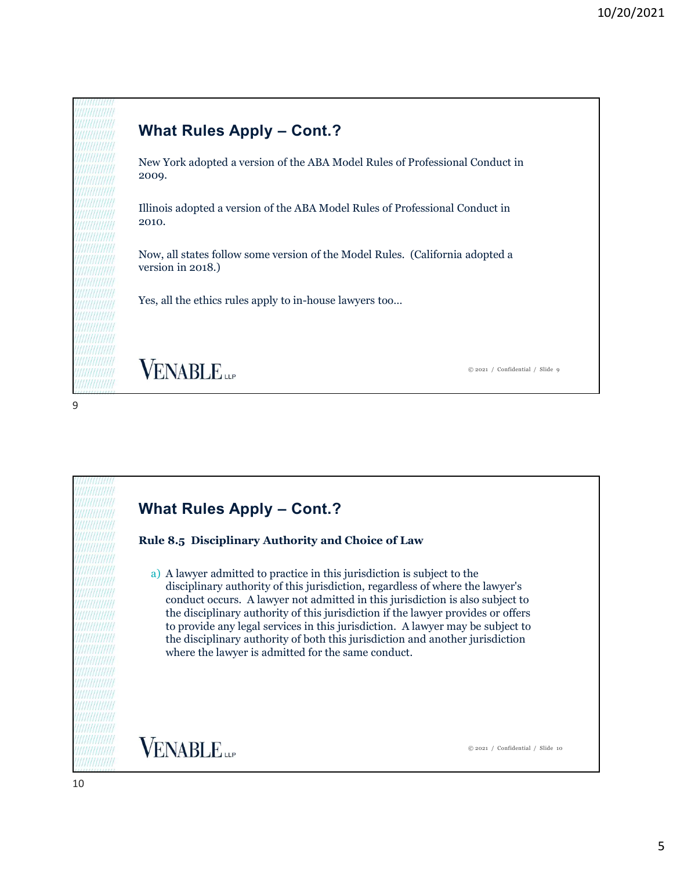

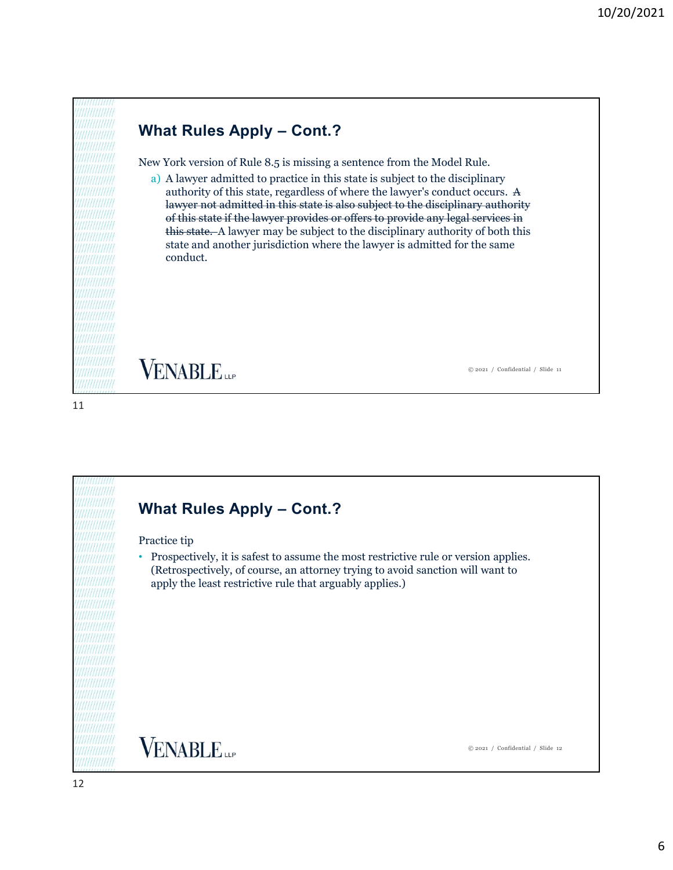New York version of Rule 8.5 is missing a sentence from the Model Rule.

10/20/20<br>
What Rules Apply – Cont.?<br>
New York version of Rule 8.5 is missing a sentence from the Model Rule.<br>
a) A lawyer admitted to practice in this state is subject to the disciplinary<br>
authority of this state, regardle a) A lawyer admitted to practice in this state is subject to the disciplinary authority of this state, regardless of where the lawyer's conduct occurs. A lawyer not admitted in this state is also subject to the disciplinary authority of this state if the lawyer provides or offers to provide any legal services in this state. A lawyer may be subject to the disciplinary authority of both this state and another jurisdiction where the lawyer is admitted for the same conduct.

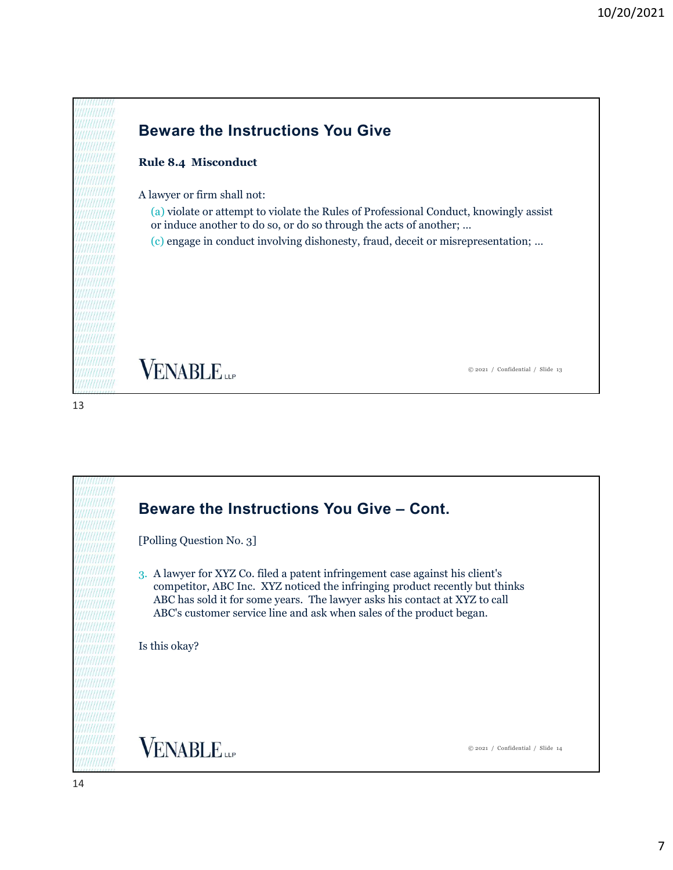

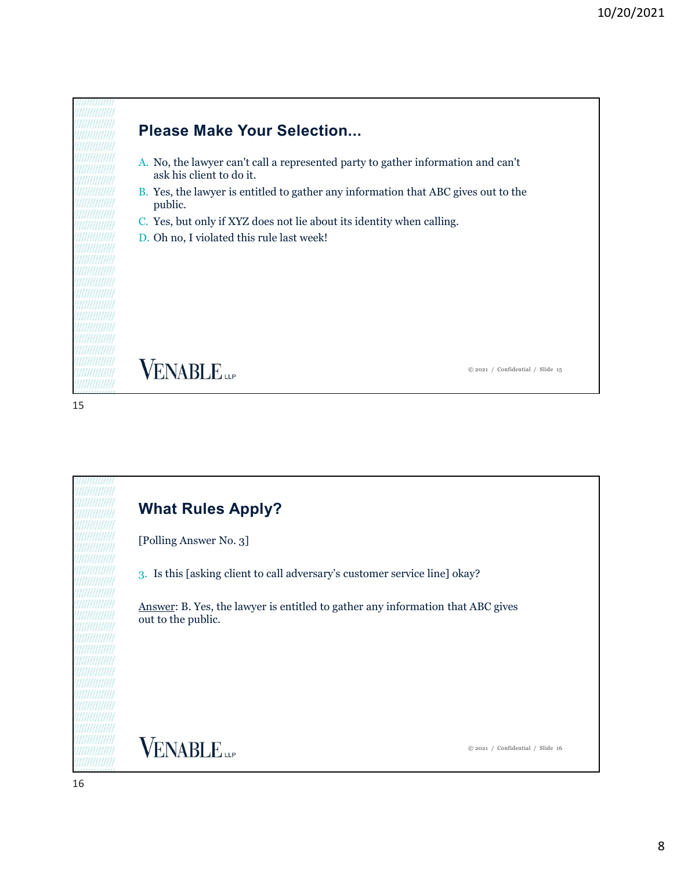

# Please Make Your Selection...

- A. No, the lawyer can't call a represented party to gather information and can't ask his client to do it.
- B. Yes, the lawyer is entitled to gather any information that ABC gives out to the public.
- C. Yes, but only if XYZ does not lie about its identity when calling.
- D. Oh no, I violated this rule last week!

**VENABLE** 

© 2021 / Confidential / Slide 15

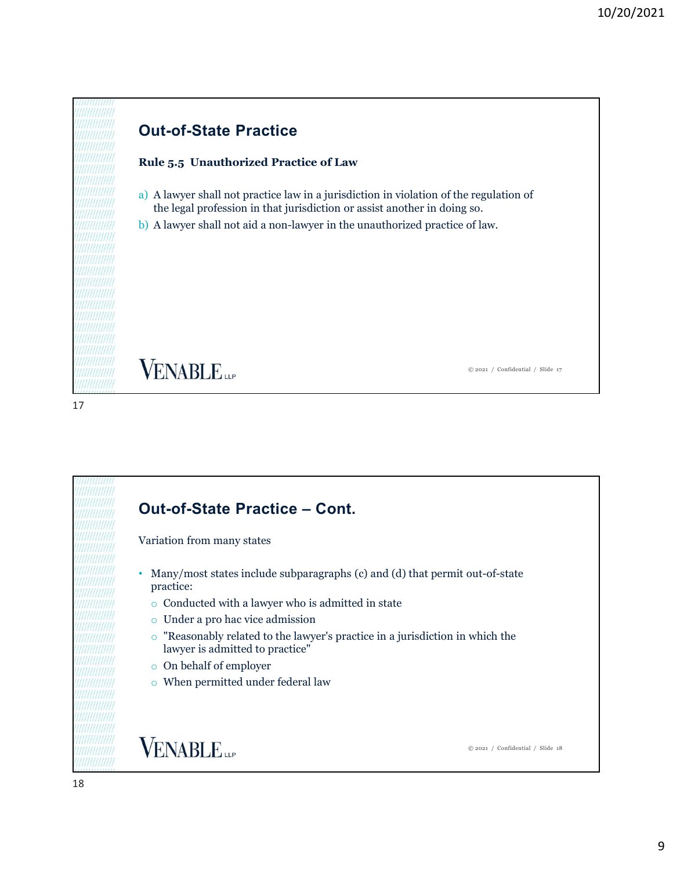# Out-of-State Practice

# Rule 5.5 Unauthorized Practice of Law

- a) A lawyer shall not practice law in a jurisdiction in violation of the regulation of the legal profession in that jurisdiction or assist another in doing so.
- b) A lawyer shall not aid a non-lawyer in the unauthorized practice of law.

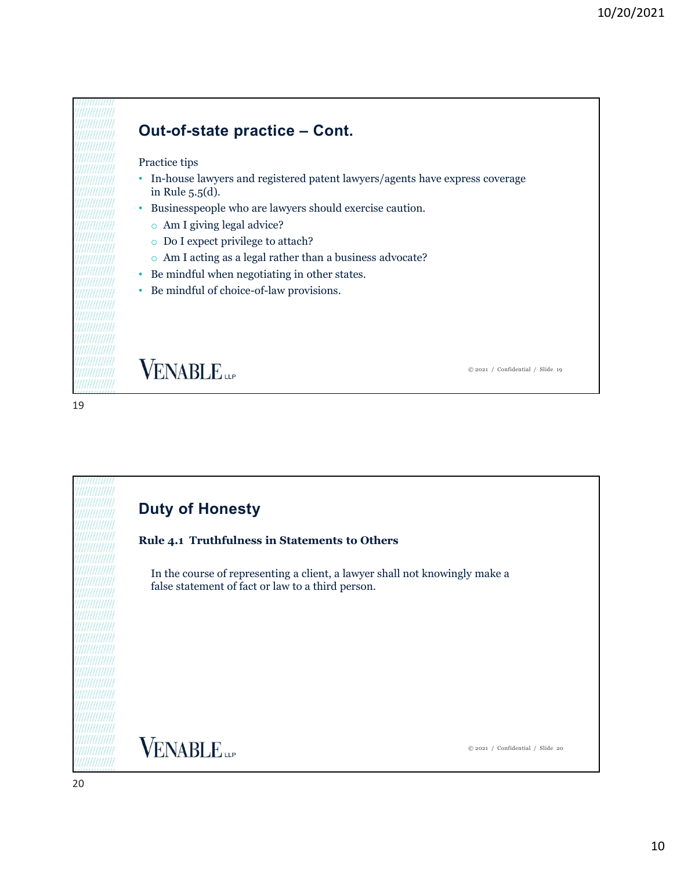### Practice tips

- 10/20/2021<br> **Out-of-state practice Cont.**<br>
Practice tips<br>
 In-house lawyers and registered patent lawyers/agents have express coverage<br>
in Rule 5.5(d). • In-house lawyers and registered patent lawyers/agents have express coverage in Rule 5.5(d).
- Businesspeople who are lawyers should exercise caution.
	- o Am I giving legal advice?
	- o Do I expect privilege to attach?
	- o Am I acting as a legal rather than a business advocate?
- Be mindful when negotiating in other states.
- Be mindful of choice-of-law provisions.

# **VENABLE**

© 2021 / Confidential / Slide 19

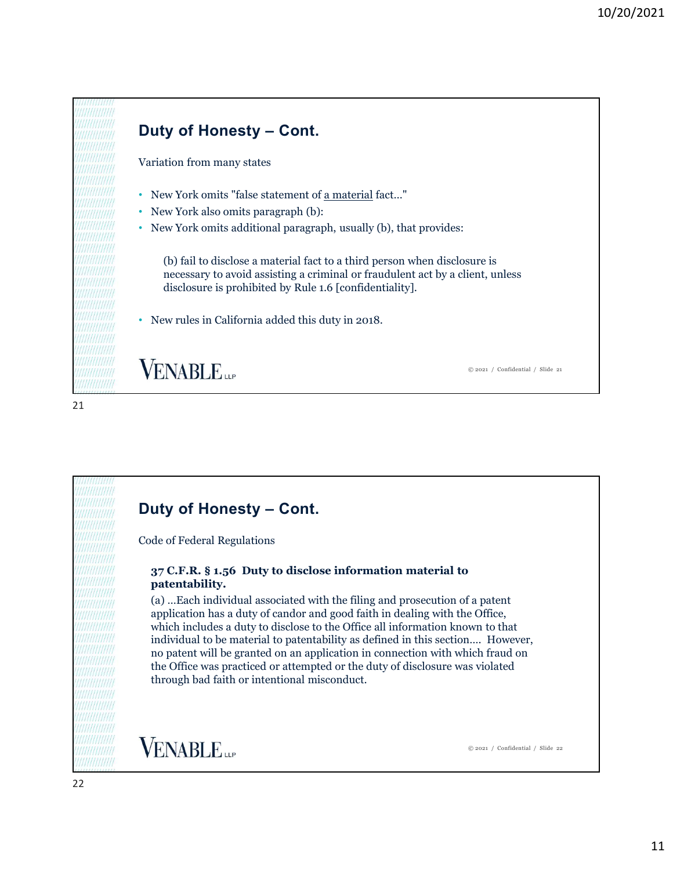

21

# Code of Federal Regulations

# patentability.

(a) …Each individual associated with the filing and prosecution of a patent application has a duty of candor and good faith in dealing with the Office, which includes a duty to disclose to the Office all information known to that individual to be material to patentability as defined in this section…. However, no patent will be granted on an application in connection with which fraud on the Office was practiced or attempted or the duty of disclosure was violated through bad faith or intentional misconduct.

**VENABLE**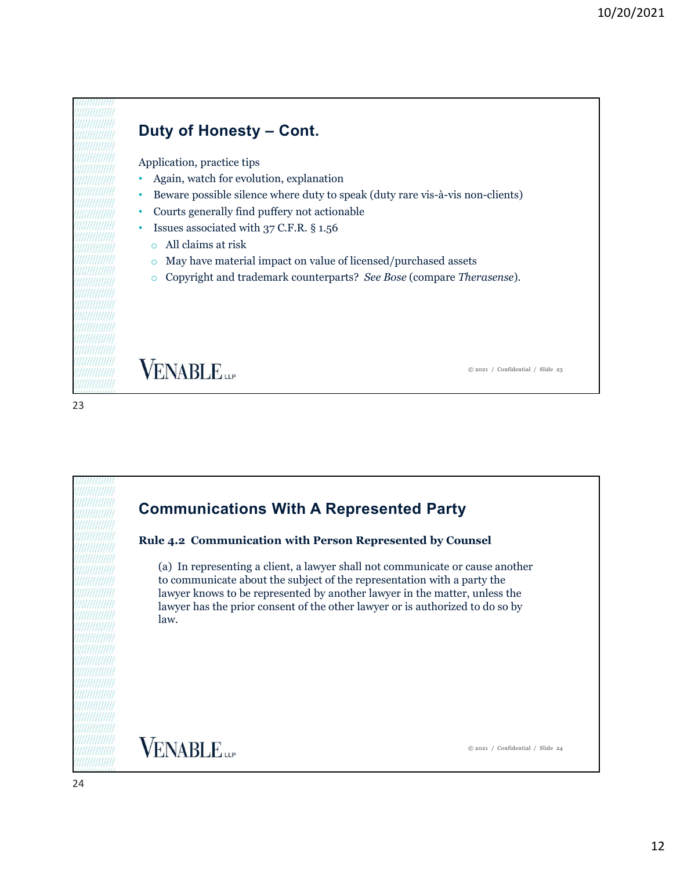Application, practice tips

- Again, watch for evolution, explanation
- 10/20/2<br> **Duty of Honesty Cont.**<br>
Application, practice tips<br>
 Again, watch for evolution, explanation<br>
 Beware possible silence where duty to speak (duty rare vis-à-vis non-clients) • Beware possible silence where duty to speak (duty rare vis-à-vis non-clients) **Duty of Honesty – Cont.**<br>
Application, practice tips<br>
• Again, watch for evolution, explanation<br>
• Beware possible silence where duty to speak (duty rare vis-à-vis non-clients)<br>
• Courts generally find puffery not action
- Courts generally find puffery not actionable
- - o All claims at risk
	- o May have material impact on value of licensed/purchased assets
	- o Copyright and trademark counterparts? See Bose (compare Therasense).

**VENABLE** 

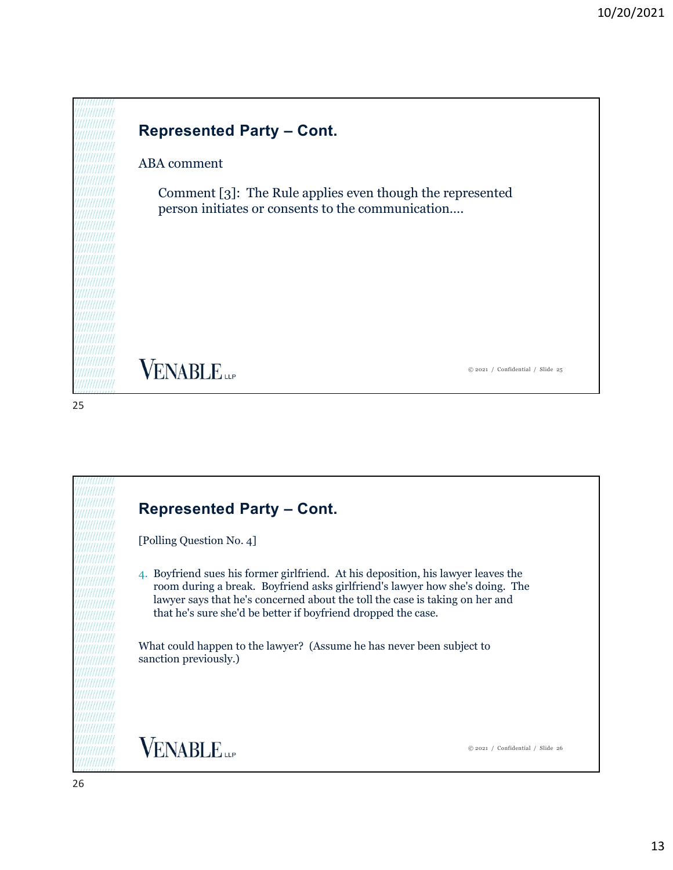

# ABA comment

10/20/202<br>
Represented Party – Cont.<br>
ABA comment<br>
Comment [3]: The Rule applies even though the represented Comment [3]: The Rule applies even though the represented person initiates or consents to the communication….

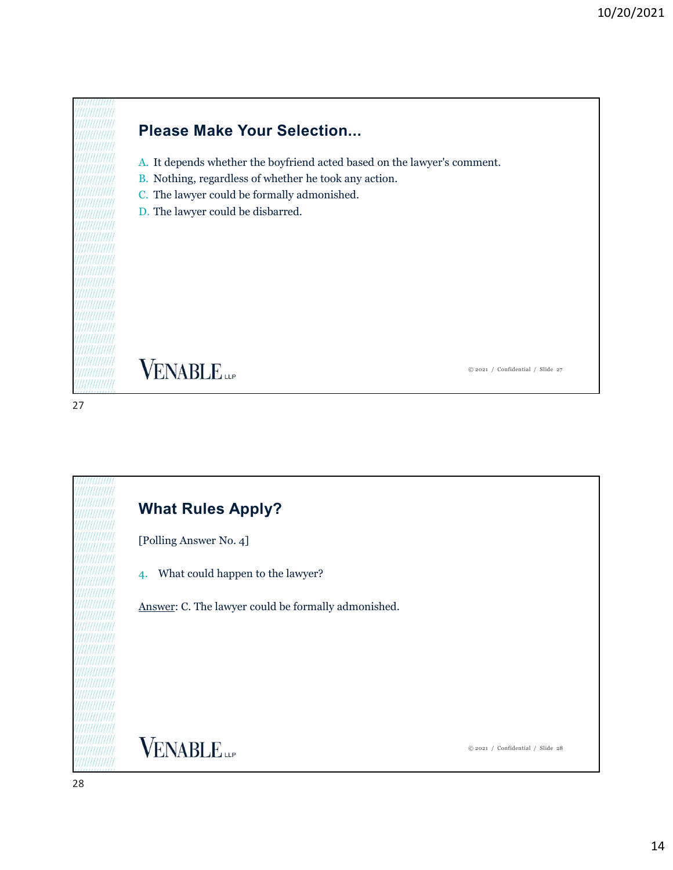

- A. It depends whether the boyfriend acted based on the lawyer's comment.
- B. Nothing, regardless of whether he took any action.
- C. The lawyer could be formally admonished.
- D. The lawyer could be disbarred.

**VENABLE** 

© 2021 / Confidential / Slide 27

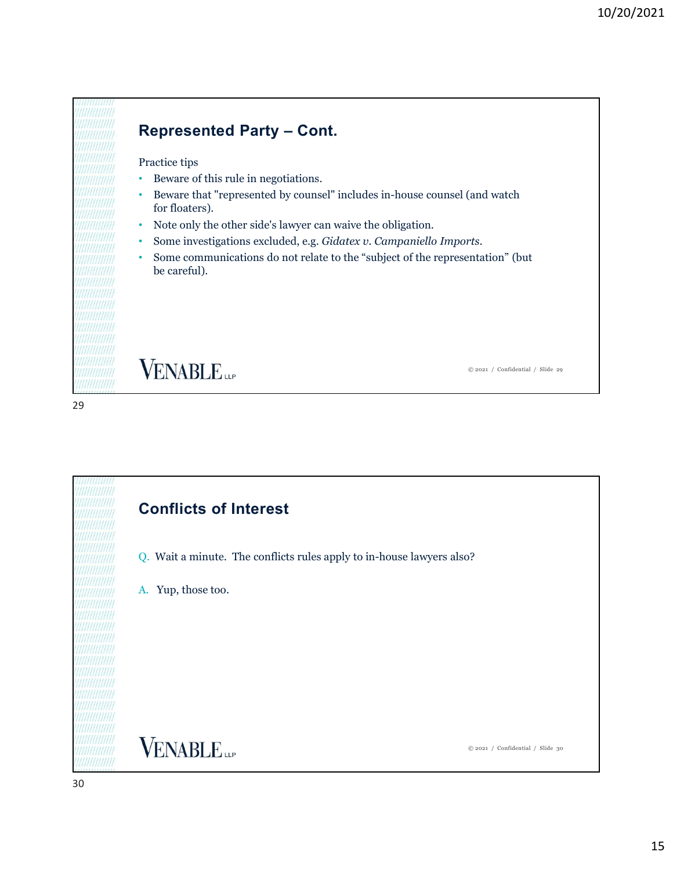# Practice tips

- Beware of this rule in negotiations.
- 10/20/202<br>
Represented Party Cont.<br>
Practice tips<br>
 Beware of this rule in negotiations.<br>
 Beware that "represented by counsel" includes in-house counsel (and watch • Beware that "represented by counsel" includes in-house counsel (and watch for floaters).
- Note only the other side's lawyer can waive the obligation.
- 
- **FRECT SOMES ARET CONTRET CONTRET CONTRET CONTRET CONTRET CONTRET CONTRET CONTRET CONTRET CONTRET CONTRET CONTRET CONTRET CONTRET CONTRET CONTRET CONTRET CONTRET CONTRET CONTRET CONTRET CONTRET CONTRET CONTRET CONTRET CONT** be careful).

**VENABLE** 

© 2021 / Confidential / Slide 29

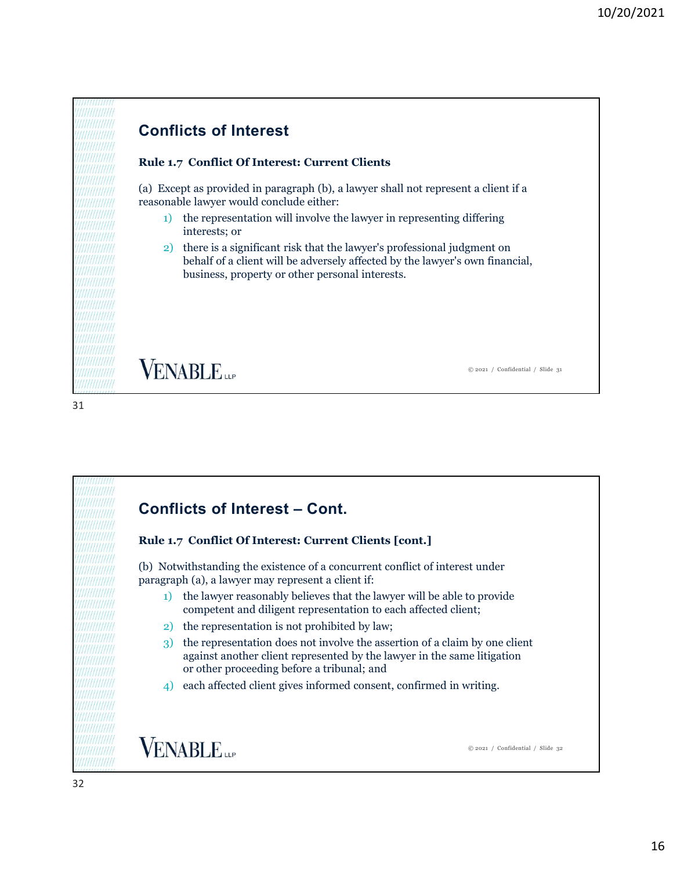# Conflicts of Interest

# Rule 1.7 Conflict Of Interest: Current Clients

(a) Except as provided in paragraph (b), a lawyer shall not represent a client if a reasonable lawyer would conclude either:

- 1) the representation will involve the lawyer in representing differing interests; or
- 2) there is a significant risk that the lawyer's professional judgment on behalf of a client will be adversely affected by the lawyer's own financial, business, property or other personal interests.

© 2021 / Confidential / Slide 31

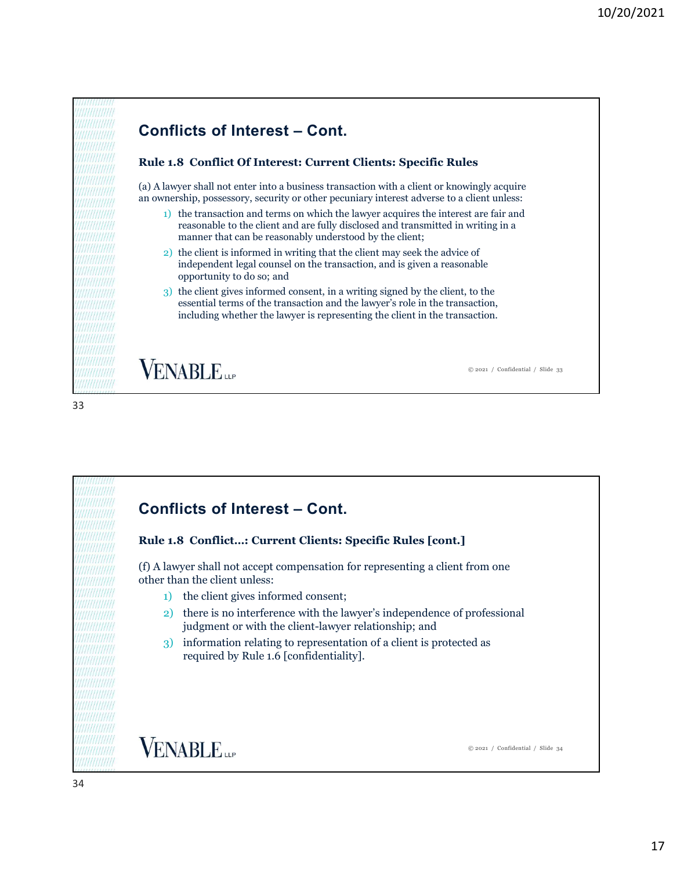

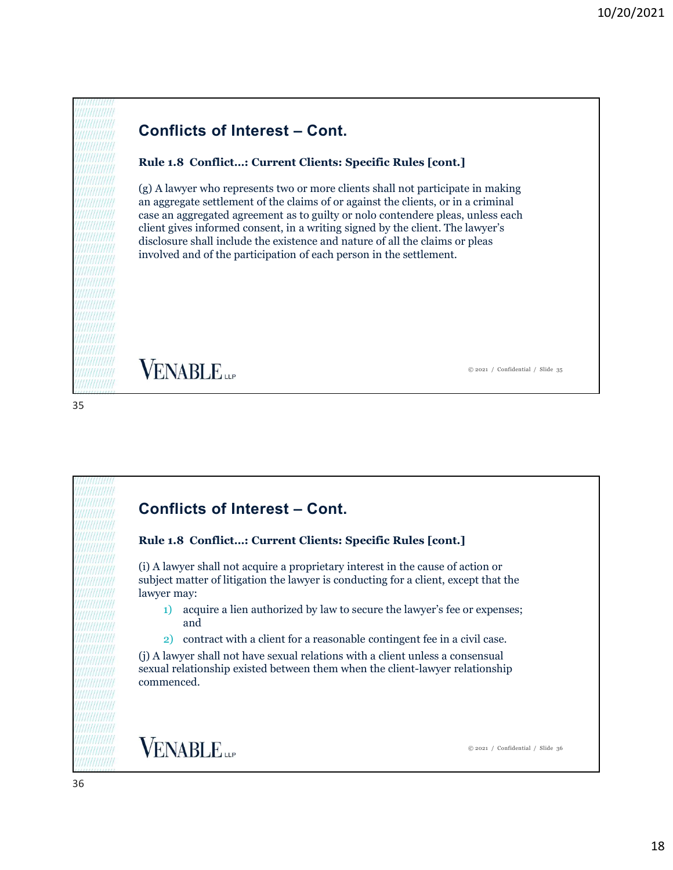# Rule 1.8 Conflict…: Current Clients: Specific Rules [cont.]

10/20/2021<br> **Conflicts of Interest – Cont.**<br> **Rule 1.8 Conflict...: Current Clients: Specific Rules [cont.]**<br>
(g) A lawyer who represents two or more clients shall not participate in making<br>
an aggregate settlement of the (g) A lawyer who represents two or more clients shall not participate in making an aggregate settlement of the claims of or against the clients, or in a criminal case an aggregated agreement as to guilty or nolo contendere pleas, unless each client gives informed consent, in a writing signed by the client. The lawyer's disclosure shall include the existence and nature of all the claims or pleas involved and of the participation of each person in the settlement. Conflicts informed consent, in a writing signed by the client. The lawyer's<br>disclosure shall include the existence and nature of all the claims or pleas<br>involved and of the participation of each person in the settlement.<br><br>

35

# Rule 1.8 Conflict…: Current Clients: Specific Rules [cont.]

(i) A lawyer shall not acquire a proprietary interest in the cause of action or subject matter of litigation the lawyer is conducting for a client, except that the lawyer may:

- 1) acquire a lien authorized by law to secure the lawyer's fee or expenses; and
- 2) contract with a client for a reasonable contingent fee in a civil case.

(j) A lawyer shall not have sexual relations with a client unless a consensual sexual relationship existed between them when the client-lawyer relationship commenced.

**VENABLE** 

© 2021 / Confidential / Slide 36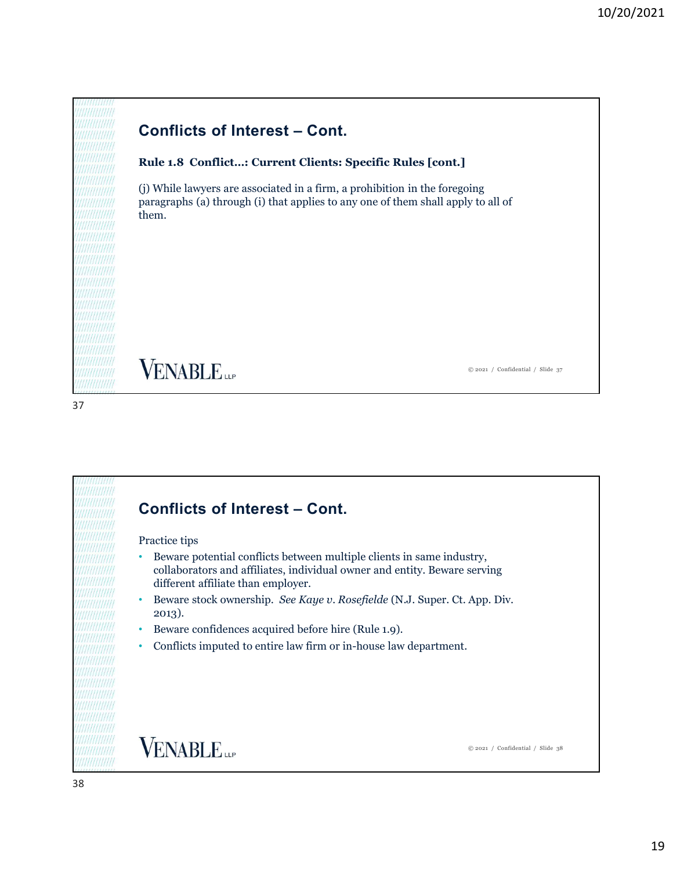# Rule 1.8 Conflict…: Current Clients: Specific Rules [cont.]

10/20/2021<br> **Conflicts of Interest – Cont.**<br> **Rule 1.8 Conflict...: Current Clients: Specific Rules [cont.]**<br>
(i) While lawyers are associated in a firm, a prohibition in the foregoing<br>
paragraphs (a) through (i) that ambi (j) While lawyers are associated in a firm, a prohibition in the foregoing paragraphs (a) through (i) that applies to any one of them shall apply to all of them.

37



# Practice tips

- VENABLE (1)<br>
Conflicts of Interest Cont.<br>
Practice tips<br>
Present potential conflicts between multiple clients in same industry,<br>
collaborators and affiliates, individual owner and entity. Beware serving • Beware potential conflicts between multiple clients in same industry, collaborators and affiliates, individual owner and entity. Beware serving different affiliate than employer.
- Beware stock ownership. See Kaye v. Rosefielde (N.J. Super. Ct. App. Div. 2013).
- Beware confidences acquired before hire (Rule 1.9).
- Conflicts imputed to entire law firm or in-house law department.

**VENABLE** 

© 2021 / Confidential / Slide 38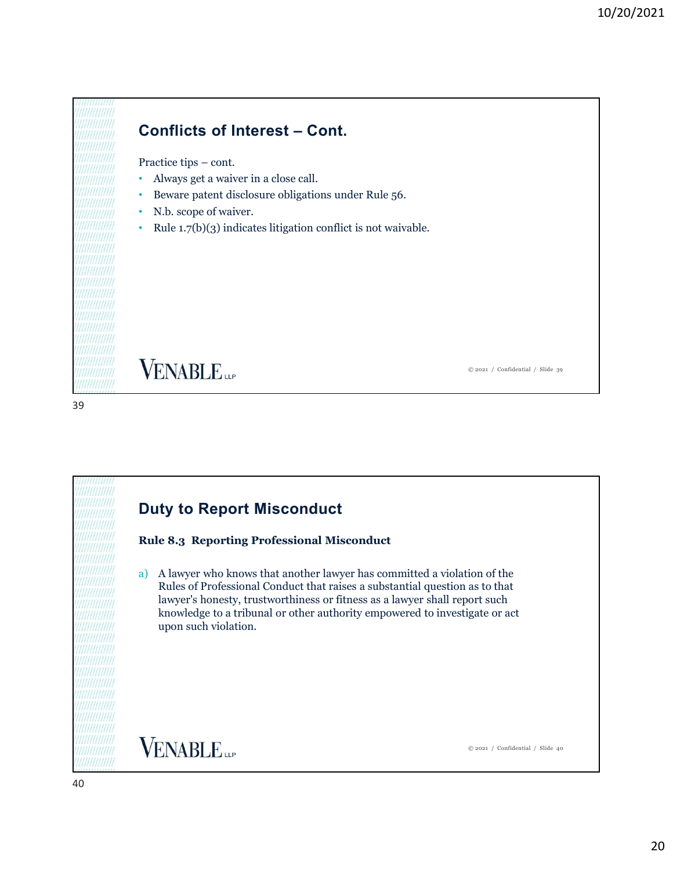# 10/20/2021<br> **Conflicts of Interest – Cont.**<br>
Practice tips – cont.<br>
• Always get a waiver in a close call.<br>
• Beware patent disclosure obligations under Rule 56. **Conflicts of Interest – Cont.**<br>
• Always get a waiver in a close call.<br>
• Beware patent disclosure obligations under Rule 56.<br>
• N.b. scope of waiver.<br>
• Rule 1.7(b)(3) indicates litigation conflict is not waivable.

- 
- 
- 
- 

**VENABLE** 

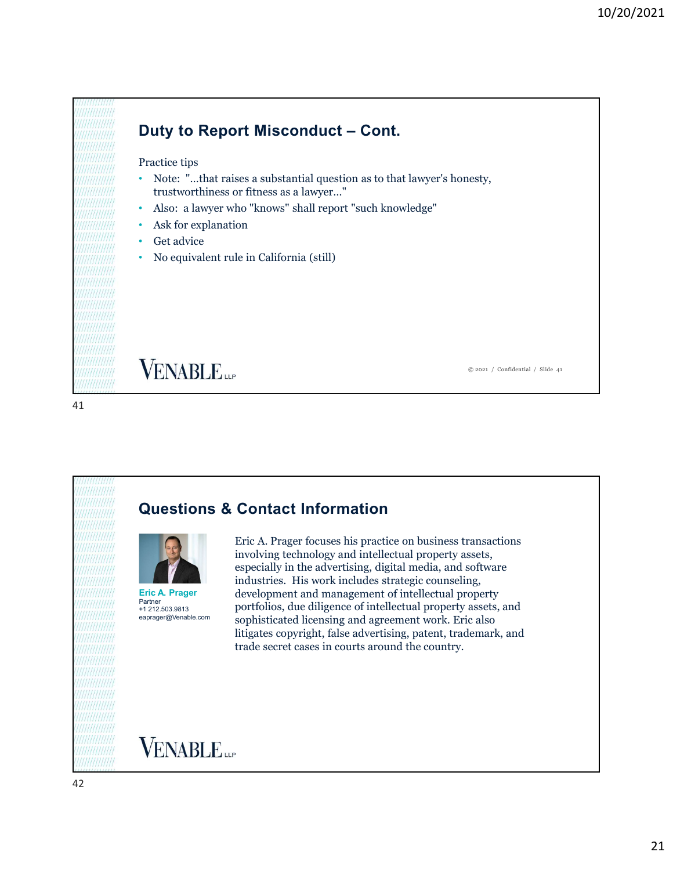

**VENABLE** 

41





Eric A. Prager focuses his practice on business transactions involving technology and intellectual property assets, especially in the advertising, digital media, and software industries. His work includes strategic counseling, development and management of intellectual property Eric A. Prager  $P_{\text{412}}^{212,203,9813}$  portfolios, due diligence of intellectual property assets, and eaprager@Venable.com sophisticated licensing and agreement work. Eric also litigates copyright, false advertising, patent, trademark, and trade secret cases in courts around the country. **Questions & Contact Information**<br>
Eric A. Prager focuses his practice on business transactions<br>
involving technology and intellectual property assets,<br>
especially in the advertising, digital media, and software<br>
industrie

© 2021 / Confidential / Slide 41

**VENABLE**